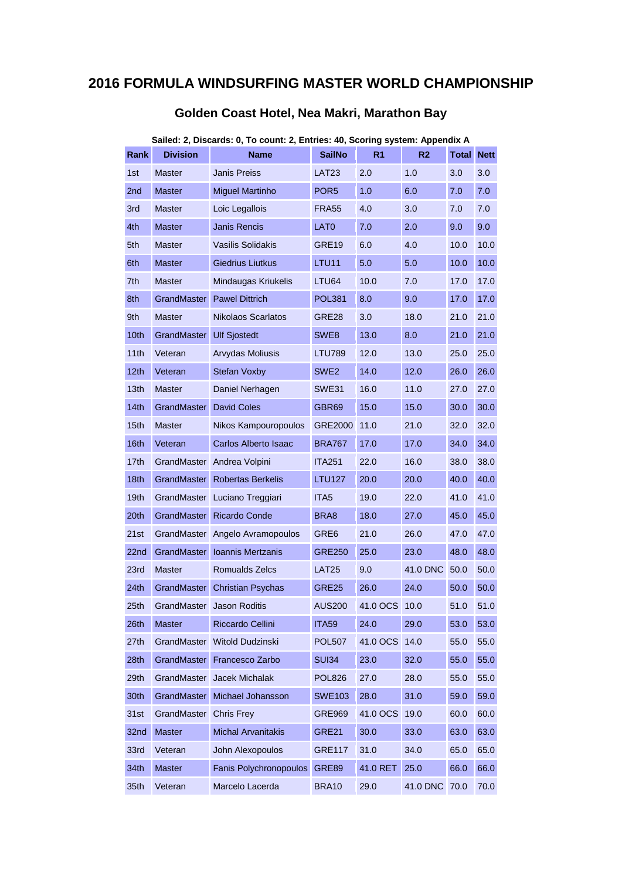## **2016 FORMULA WINDSURFING MASTER WORLD CHAMPIONSHIP**

| Sailed: 2, Discards: 0, To count: 2, Entries: 40, Scoring system: Appendix A |                        |                                 |                  |                |                |       |             |  |
|------------------------------------------------------------------------------|------------------------|---------------------------------|------------------|----------------|----------------|-------|-------------|--|
| Rank                                                                         | <b>Division</b>        | <b>Name</b>                     | <b>SailNo</b>    | R <sub>1</sub> | R <sub>2</sub> | Total | <b>Nett</b> |  |
| 1st                                                                          | <b>Master</b>          | Janis Preiss                    | LAT23            | 2.0            | 1.0            | 3.0   | 3.0         |  |
| 2nd                                                                          | <b>Master</b>          | <b>Miguel Martinho</b>          | POR <sub>5</sub> | 1.0            | 6.0            | 7.0   | 7.0         |  |
| 3rd                                                                          | <b>Master</b>          | Loic Legallois                  | FRA55            | 4.0            | 3.0            | 7.0   | 7.0         |  |
| 4th                                                                          | <b>Master</b>          | Janis Rencis                    | LAT0             | 7.0            | 2.0            | 9.0   | 9.0         |  |
| 5th                                                                          | <b>Master</b>          | <b>Vasilis Solidakis</b>        | GRE19            | 6.0            | 4.0            | 10.0  | 10.0        |  |
| 6th                                                                          | <b>Master</b>          | <b>Giedrius Liutkus</b>         | LTU11            | 5.0            | 5.0            | 10.0  | 10.0        |  |
| 7th                                                                          | <b>Master</b>          | Mindaugas Kriukelis             | LTU64            | 10.0           | 7.0            | 17.0  | 17.0        |  |
| 8th                                                                          | GrandMaster            | <b>Pawel Dittrich</b>           | <b>POL381</b>    | 8.0            | 9.0            | 17.0  | 17.0        |  |
| 9th                                                                          | <b>Master</b>          | Nikolaos Scarlatos              | GRE28            | 3.0            | 18.0           | 21.0  | 21.0        |  |
| 10th                                                                         | GrandMaster            | <b>Ulf Sjostedt</b>             | SWE8             | 13.0           | 8.0            | 21.0  | 21.0        |  |
| 11th                                                                         | Veteran                | <b>Arvydas Moliusis</b>         | LTU789           | 12.0           | 13.0           | 25.0  | 25.0        |  |
| 12th                                                                         | Veteran                | <b>Stefan Voxby</b>             | SWE2             | 14.0           | 12.0           | 26.0  | 26.0        |  |
| 13 <sub>th</sub>                                                             | <b>Master</b>          | Daniel Nerhagen                 | SWE31            | 16.0           | 11.0           | 27.0  | 27.0        |  |
| 14th                                                                         | <b>GrandMaster</b>     | <b>David Coles</b>              | GBR69            | 15.0           | 15.0           | 30.0  | 30.0        |  |
| 15 <sub>th</sub>                                                             | <b>Master</b>          | Nikos Kampouropoulos            | GRE2000          | 11.0           | 21.0           | 32.0  | 32.0        |  |
| 16 <sub>th</sub>                                                             | Veteran                | Carlos Alberto Isaac            | BRA767           | 17.0           | 17.0           | 34.0  | 34.0        |  |
| 17th                                                                         | GrandMaster            | Andrea Volpini                  | <b>ITA251</b>    | 22.0           | 16.0           | 38.0  | 38.0        |  |
| 18th                                                                         | GrandMaster            | <b>Robertas Berkelis</b>        | LTU127           | 20.0           | 20.0           | 40.0  | 40.0        |  |
| 19th                                                                         |                        | GrandMaster Luciano Treggiari   | ITA5             | 19.0           | 22.0           | 41.0  | 41.0        |  |
| 20th                                                                         | GrandMaster            | <b>Ricardo Conde</b>            | BRA8             | 18.0           | 27.0           | 45.0  | 45.0        |  |
| 21st                                                                         |                        | GrandMaster Angelo Avramopoulos | GRE6             | 21.0           | 26.0           | 47.0  | 47.0        |  |
| 22nd                                                                         | <b>GrandMaster</b>     | Ioannis Mertzanis               | <b>GRE250</b>    | 25.0           | 23.0           | 48.0  | 48.0        |  |
| 23rd                                                                         | <b>Master</b>          | Romualds Zelcs                  | <b>LAT25</b>     | 9.0            | 41.0 DNC       | 50.0  | 50.0        |  |
| 24th                                                                         | <b>GrandMaster</b>     | <b>Christian Psychas</b>        | GRE25            | 26.0           | 24.0           | 50.0  | 50.0        |  |
| 25 <sub>th</sub>                                                             | GrandMaster            | <b>Jason Roditis</b>            | <b>AUS200</b>    | 41.0 OCS       | 10.0           | 51.0  | 51.0        |  |
| 26th                                                                         | <b>Master</b>          | Riccardo Cellini                | <b>ITA59</b>     | 24.0           | 29.0           | 53.0  | 53.0        |  |
| 27th                                                                         | GrandMaster            | Witold Dudzinski                | <b>POL507</b>    | 41.0 OCS       | 14.0           | 55.0  | 55.0        |  |
| 28th                                                                         | <b>GrandMaster</b>     | Francesco Zarbo                 | <b>SUI34</b>     | 23.0           | 32.0           | 55.0  | 55.0        |  |
| 29th                                                                         | GrandMaster            | Jacek Michalak                  | <b>POL826</b>    | 27.0           | 28.0           | 55.0  | 55.0        |  |
| 30th                                                                         | GrandMaster            | Michael Johansson               | <b>SWE103</b>    | 28.0           | 31.0           | 59.0  | 59.0        |  |
| 31st                                                                         | GrandMaster Chris Frey |                                 | <b>GRE969</b>    | 41.0 OCS       | 19.0           | 60.0  | 60.0        |  |
| 32nd                                                                         | <b>Master</b>          | <b>Michal Arvanitakis</b>       | GRE21            | 30.0           | 33.0           | 63.0  | 63.0        |  |
| 33rd                                                                         | Veteran                | John Alexopoulos                | <b>GRE117</b>    | 31.0           | 34.0           | 65.0  | 65.0        |  |
| 34th                                                                         | <b>Master</b>          | Fanis Polychronopoulos          | <b>GRE89</b>     | 41.0 RET       | 25.0           | 66.0  | 66.0        |  |
| 35th                                                                         | Veteran                | Marcelo Lacerda                 | <b>BRA10</b>     | 29.0           | 41.0 DNC       | 70.0  | 70.0        |  |

## **Golden Coast Hotel, Nea Makri, Marathon Bay**